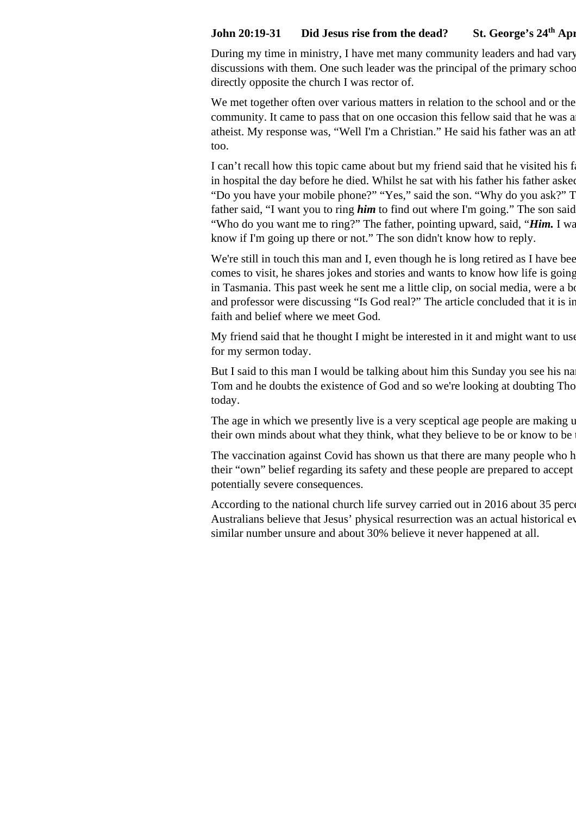## **John 20:19-31** Did Jesus rise from the dead? St. George's 24<sup>th</sup> Apr

During my time in ministry, I have met many community leaders and had vary discussions with them. One such leader was the principal of the primary school directly opposite the church I was rector of.

We met together often over various matters in relation to the school and or the community. It came to pass that on one occasion this fellow said that he was a atheist. My response was, "Well I'm a Christian." He said his father was an atheist. too.

I can't recall how this topic came about but my friend said that he visited his father in hospital the day before he died. Whilst he sat with his father his father asked "Do you have your mobile phone?" "Yes," said the son. "Why do you ask?" T father said, "I want you to ring **him** to find out where I'm going." The son said "Who do you want me to ring?" The father, pointing upward, said, "**Him.** I wa know if I'm going up there or not." The son didn't know how to reply.

We're still in touch this man and I, even though he is long retired as I have bee comes to visit, he shares jokes and stories and wants to know how life is going in Tasmania. This past week he sent me a little clip, on social media, were a bo and professor were discussing "Is God real?" The article concluded that it is in faith and belief where we meet God.

My friend said that he thought I might be interested in it and might want to use for my sermon today.

But I said to this man I would be talking about him this Sunday you see his na Tom and he doubts the existence of God and so we're looking at doubting Thomas today.

The age in which we presently live is a very sceptical age people are making up their own minds about what they think, what they believe to be or know to be.

The vaccination against Covid has shown us that there are many people who h their "own" belief regarding its safety and these people are prepared to accept potentially severe consequences.

According to the national church life survey carried out in 2016 about 35 percent Australians believe that Jesus' physical resurrection was an actual historical ev similar number unsure and about 30% believe it never happened at all.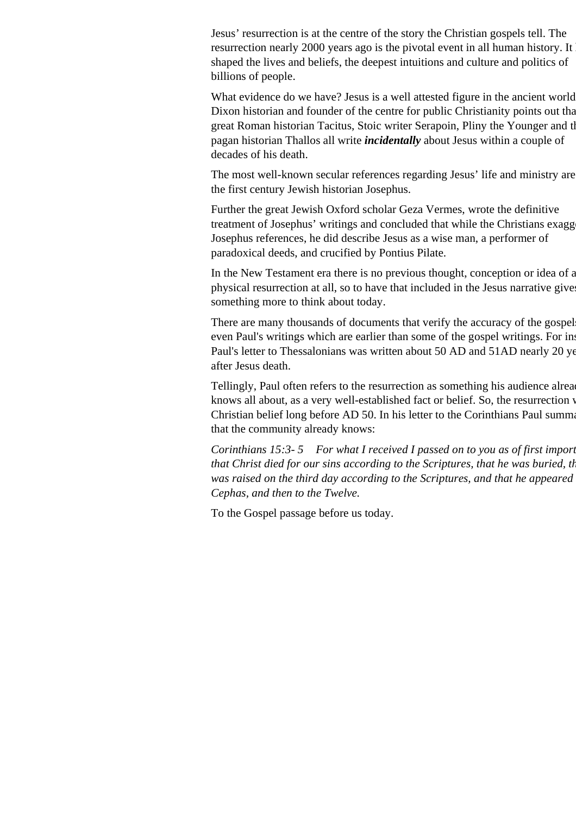Jesus' resurrection is at the centre of the story the Christian gospels tell. The resurrection nearly 2000 years ago is the pivotal event in all human history. It shaped the lives and beliefs, the deepest intuitions and culture and politics of billions of people.

What evidence do we have? Jesus is a well attested figure in the ancient world. Dixon historian and founder of the centre for public Christianity points out that great Roman historian Tacitus, Stoic writer Serapoin, Pliny the Younger and the pagan historian Thallos all write *incidentally* about Jesus within a couple of decades of his death.

The most well-known secular references regarding Jesus' life and ministry are the first century Jewish historian Josephus.

Further the great Jewish Oxford scholar Geza Vermes, wrote the definitive treatment of Josephus' writings and concluded that while the Christians exagg Josephus references, he did describe Jesus as a wise man, a performer of paradoxical deeds, and crucified by Pontius Pilate.

In the New Testament era there is no previous thought, conception or idea of a physical resurrection at all, so to have that included in the Jesus narrative gives something more to think about today.

There are many thousands of documents that verify the accuracy of the gospel even Paul's writings which are earlier than some of the gospel writings. For instance Paul's letter to Thessalonians was written about 50 AD and 51AD nearly 20 years after Jesus death.

Tellingly, Paul often refers to the resurrection as something his audience already knows all about, as a very well-established fact or belief. So, the resurrection v Christian belief long before AD 50. In his letter to the Corinthians Paul summarity that the community already knows:

*Corinthians 15:3-5 For what I received I passed on to you as of first import that Christ died for our sins according to the Scriptures, that he was buried, that he was buried, that was raised on the third day according to the Scriptures, and that he appeared Cephas, and then to the Twelve.*

To the Gospel passage before us today.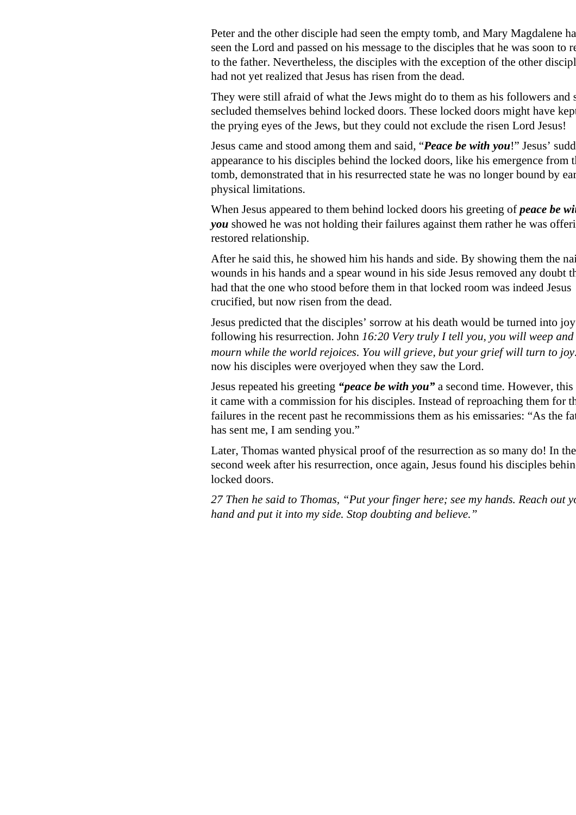Peter and the other disciple had seen the empty tomb, and Mary Magdalene had seen the Lord and passed on his message to the disciples that he was soon to re to the father. Nevertheless, the disciples with the exception of the other disciple, had not yet realized that Jesus has risen from the dead.

They were still afraid of what the Jews might do to them as his followers and s secluded themselves behind locked doors. These locked doors might have kep the prying eyes of the Jews, but they could not exclude the risen Lord Jesus!

Jesus came and stood among them and said, "*Peace be with you*!" Jesus' sudd appearance to his disciples behind the locked doors, like his emergence from the tomb, demonstrated that in his resurrected state he was no longer bound by ear physical limitations.

When Jesus appeared to them behind locked doors his greeting of *peace be with you* showed he was not holding their failures against them rather he was offering restored relationship.

After he said this, he showed him his hands and side. By showing them the nail wounds in his hands and a spear wound in his side Jesus removed any doubt the had that the one who stood before them in that locked room was indeed Jesus crucified, but now risen from the dead.

Jesus predicted that the disciples' sorrow at his death would be turned into joy following his resurrection. John *16:20 Very truly I tell you, you will weep and mourn while the world rejoices. You will grieve, but your grief will turn to joy.* now his disciples were overjoyed when they saw the Lord.

Jesus repeated his greeting "*peace be with you*" a second time. However, this it came with a commission for his disciples. Instead of reproaching them for the failures in the recent past he recommissions them as his emissaries: "As the father has sent me, I am sending you."

Later, Thomas wanted physical proof of the resurrection as so many do! In the second week after his resurrection, once again, Jesus found his disciples behin locked doors.

*27 Then he said to Thomas, "Put your finger here; see my hands. Reach out your hand and put it into my side. Stop doubting and believe."*